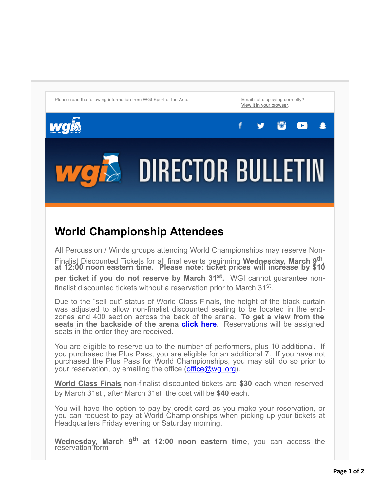Please read the following information from WGI Sport of the Arts. The Email not displaying correctly?

[View it in your browser](http://go.pardot.com/webmail/819453/297583078/a320cdca1cd5e165cc64624a12d1cac4d15fd73bc9d77a3a066d8f811f49f9fa).

 $\mathbf{F}$ 



All Percussion / Winds groups attending World Championships may reserve Non-Finalist Discounted Tickets for all final events beginning **Wednesday, March 9th , at 12:00 noon eastern time. Please note: ticket prices will increase by \$10 per ticket if you do not reserve by March 31st .** WGI cannot guarantee nonfinalist discounted tickets without a reservation prior to March 31<sup>st</sup>.

**DIRECTOR BULLETIN** 

Due to the "sell out" status of World Class Finals, the height of the black curtain was adjusted to allow non-finalist discounted seating to be located in the endzones and 400 section across the back of the arena. **To get a view from the seats in the backside of the arena [click](https://wgi.org/wp-content/uploads/2016/11/PercussionViewBackside2.jpg) here.** Reservations will be assigned seats in the order they are received.

You are eligible to reserve up to the number of performers, plus 10 additional. If you purchased the Plus Pass, you are eligible for an additional 7. If you have not purchased the Plus Pass for World Championships, you may still do so prior to your reservation, by emailing the office  $(office@wgi.org)$  $(office@wgi.org)$  $(office@wgi.org)$ .

**World Class Finals** non-finalist discounted tickets are **\$30** each when reserved by March 31st , after March 31st the cost will be **\$40** each.

You will have the option to pay by credit card as you make your reservation, or you can request to pay at World Championships when picking up your tickets at Headquarters Friday evening or Saturday morning.

**Wednesday, March 9 th at 12:00 noon eastern time**, you can access the reservation form